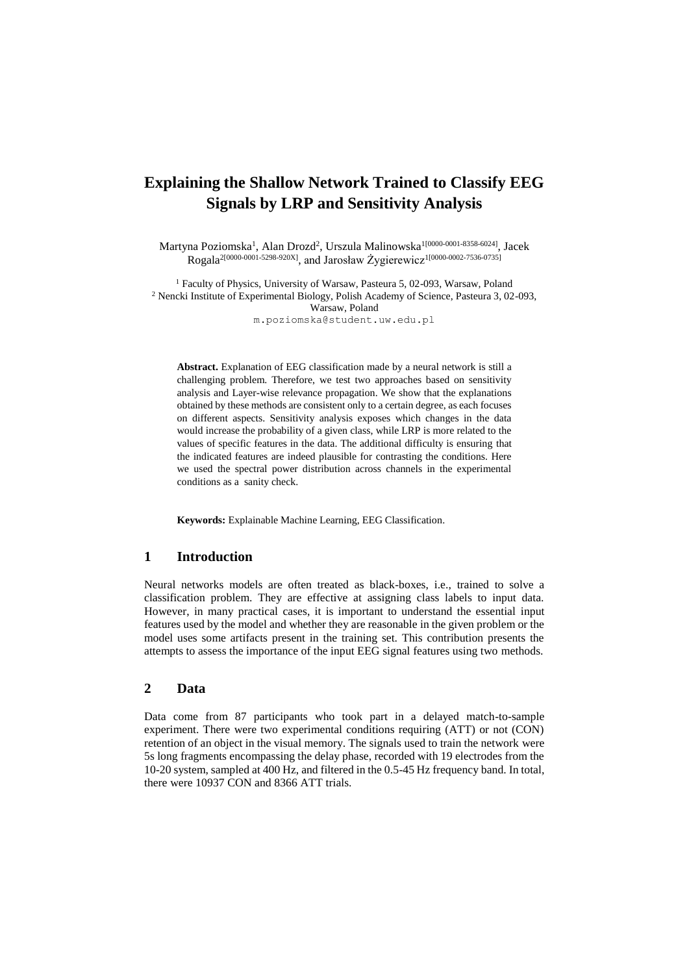# **Explaining the Shallow Network Trained to Classify EEG Signals by LRP and Sensitivity Analysis**

Martyna Poziomska<sup>1</sup>, Alan Drozd<sup>2</sup>, Urszula Malinowska<sup>1[0000-0001-8358-6024]</sup>, Jacek Rogala2[0000-0001-5298-920X] , and Jarosław Żygierewicz1[0000-0002-7536-0735]

<sup>1</sup> Faculty of Physics, University of Warsaw, Pasteura 5, 02-093, Warsaw, Poland <sup>2</sup> Nencki Institute of Experimental Biology, Polish Academy of Science, Pasteura 3, 02-093, Warsaw, Poland

m.poziomska@student.uw.edu.pl

**Abstract.** Explanation of EEG classification made by a neural network is still a challenging problem. Therefore, we test two approaches based on sensitivity analysis and Layer-wise relevance propagation. We show that the explanations obtained by these methods are consistent only to a certain degree, as each focuses on different aspects. Sensitivity analysis exposes which changes in the data would increase the probability of a given class, while LRP is more related to the values of specific features in the data. The additional difficulty is ensuring that the indicated features are indeed plausible for contrasting the conditions. Here we used the spectral power distribution across channels in the experimental conditions as a sanity check.

**Keywords:** Explainable Machine Learning, EEG Classification.

### **1 Introduction**

Neural networks models are often treated as black-boxes, i.e., trained to solve a classification problem. They are effective at assigning class labels to input data. However, in many practical cases, it is important to understand the essential input features used by the model and whether they are reasonable in the given problem or the model uses some artifacts present in the training set. This contribution presents the attempts to assess the importance of the input EEG signal features using two methods.

## **2 Data**

Data come from 87 participants who took part in a delayed match-to-sample experiment. There were two experimental conditions requiring (ATT) or not (CON) retention of an object in the visual memory. The signals used to train the network were 5s long fragments encompassing the delay phase, recorded with 19 electrodes from the 10-20 system, sampled at 400 Hz, and filtered in the 0.5-45 Hz frequency band. In total, there were 10937 CON and 8366 ATT trials.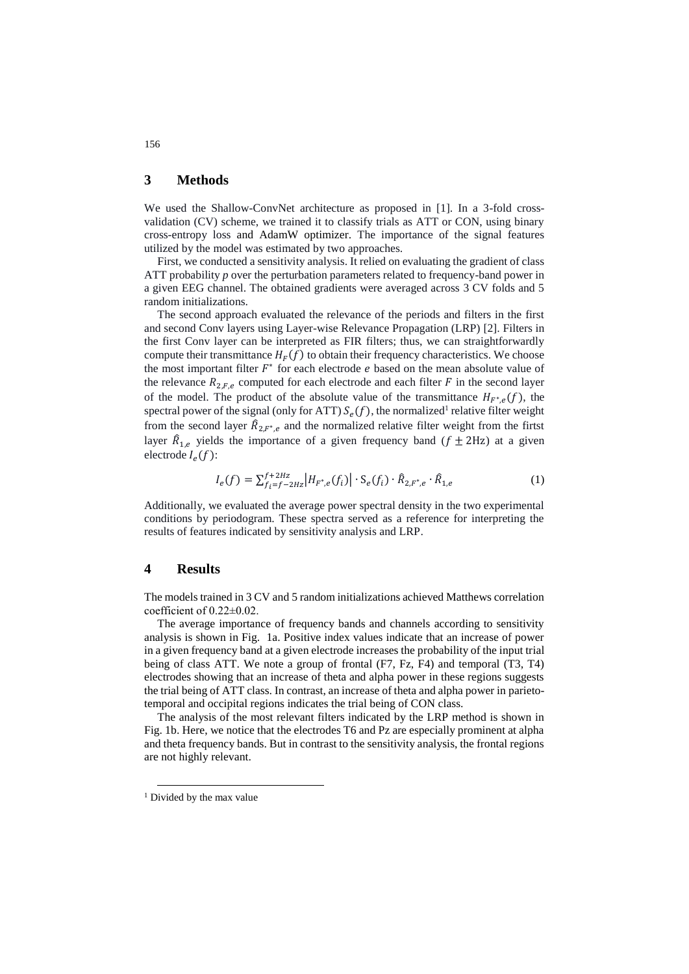### **3 Methods**

We used the Shallow-ConvNet architecture as proposed in [1]. In a 3-fold crossvalidation (CV) scheme, we trained it to classify trials as ATT or CON, using binary cross-entropy loss and AdamW optimizer. The importance of the signal features utilized by the model was estimated by two approaches.

First, we conducted a sensitivity analysis. It relied on evaluating the gradient of class ATT probability *p* over the perturbation parameters related to frequency-band power in a given EEG channel. The obtained gradients were averaged across 3 CV folds and 5 random initializations.

The second approach evaluated the relevance of the periods and filters in the first and second Conv layers using Layer-wise Relevance Propagation (LRP) [2]. Filters in the first Conv layer can be interpreted as FIR filters; thus, we can straightforwardly compute their transmittance  $H_F(f)$  to obtain their frequency characteristics. We choose the most important filter  $F^*$  for each electrode  $e$  based on the mean absolute value of the relevance  $R_{2,F,e}$  computed for each electrode and each filter F in the second layer of the model. The product of the absolute value of the transmittance  $H_{F^*,e}(f)$ , the spectral power of the signal (only for ATT)  $S_e(f)$ , the normalized<sup>1</sup> relative filter weight from the second layer  $\hat{R}_{2,F^*,e}$  and the normalized relative filter weight from the firtst layer  $\hat{R}_{1,e}$  yields the importance of a given frequency band  $(f \pm 2Hz)$  at a given electrode  $I_e(f)$ :

$$
I_e(f) = \sum_{f_i = f - 2Hz}^{f + 2Hz} |H_{F^*,e}(f_i)| \cdot S_e(f_i) \cdot \hat{R}_{2,F^*,e} \cdot \hat{R}_{1,e}
$$
 (1)

Additionally, we evaluated the average power spectral density in the two experimental conditions by periodogram. These spectra served as a reference for interpreting the results of features indicated by sensitivity analysis and LRP.

#### **4 Results**

The models trained in 3 CV and 5 random initializations achieved Matthews correlation coefficient of 0.22±0.02.

The average importance of frequency bands and channels according to sensitivity analysis is shown in Fig. 1a. Positive index values indicate that an increase of power in a given frequency band at a given electrode increases the probability of the input trial being of class ATT. We note a group of frontal (F7, Fz, F4) and temporal (T3, T4) electrodes showing that an increase of theta and alpha power in these regions suggests the trial being of ATT class. In contrast, an increase of theta and alpha power in parietotemporal and occipital regions indicates the trial being of CON class.

The analysis of the most relevant filters indicated by the LRP method is shown in Fig. 1b. Here, we notice that the electrodes T6 and Pz are especially prominent at alpha and theta frequency bands. But in contrast to the sensitivity analysis, the frontal regions are not highly relevant.

-

#### 156

<sup>&</sup>lt;sup>1</sup> Divided by the max value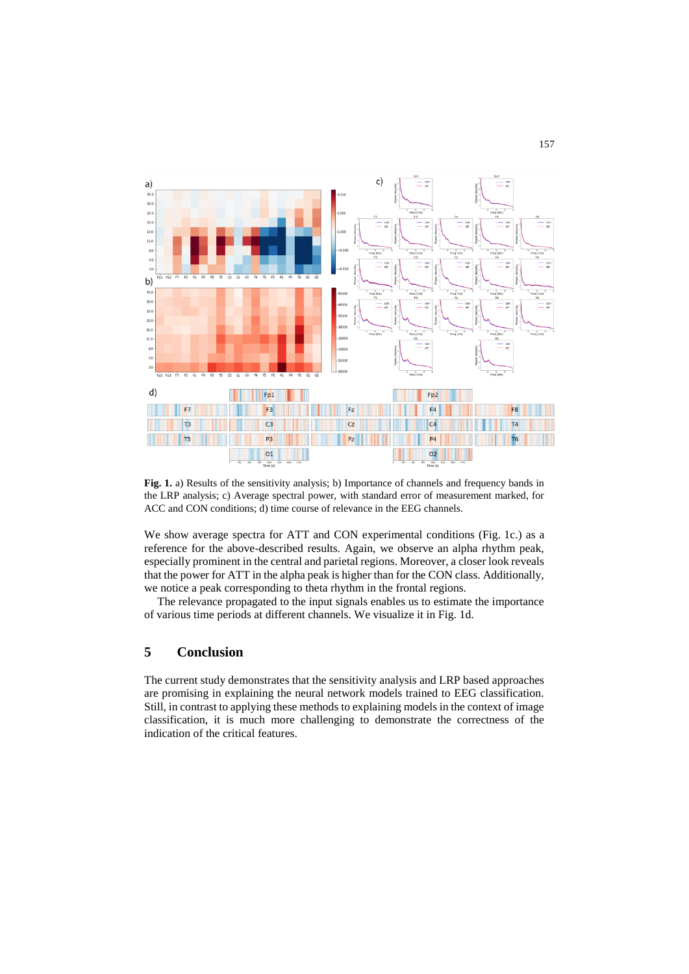

**Fig. 1.** a) Results of the sensitivity analysis; b) Importance of channels and frequency bands in the LRP analysis; c) Average spectral power, with standard error of measurement marked, for ACC and CON conditions; d) time course of relevance in the EEG channels.

We show average spectra for ATT and CON experimental conditions (Fig. 1c.) as a reference for the above-described results. Again, we observe an alpha rhythm peak, especially prominent in the central and parietal regions. Moreover, a closer look reveals that the power for ATT in the alpha peak is higher than for the CON class. Additionally, we notice a peak corresponding to theta rhythm in the frontal regions.

The relevance propagated to the input signals enables us to estimate the importance of various time periods at different channels. We visualize it in Fig. 1d.

## **5 Conclusion**

The current study demonstrates that the sensitivity analysis and LRP based approaches are promising in explaining the neural network models trained to EEG classification. Still, in contrast to applying these methods to explaining models in the context of image classification, it is much more challenging to demonstrate the correctness of the indication of the critical features.